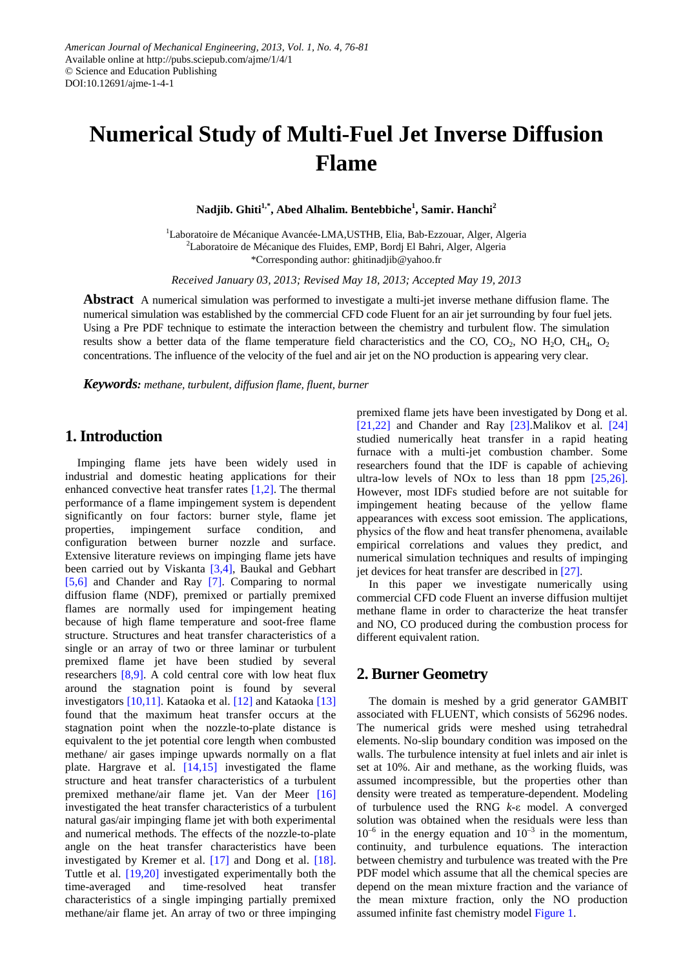# **Numerical Study of Multi-Fuel Jet Inverse Diffusion Flame**

 $\mathbf{N}$ adjib. Ghiti $^{1,*}$ , Abed Alhalim. Bentebbiche $^{1}$ , Samir. Hanchi $^{2}$ 

<sup>1</sup>Laboratoire de Mécanique Avancée-LMA,USTHB, Elia, Bab-Ezzouar, Alger, Algeria <sup>2</sup>Laboratoire de Mécanique des Fluides, EMP, Bordj El Bahri, Alger, Algeria \*Corresponding author: ghitinadjib@yahoo.fr

*Received January 03, 2013; Revised May 18, 2013; Accepted May 19, 2013*

**Abstract** A numerical simulation was performed to investigate a multi-jet inverse methane diffusion flame. The numerical simulation was established by the commercial CFD code Fluent for an air jet surrounding by four fuel jets. Using a Pre PDF technique to estimate the interaction between the chemistry and turbulent flow. The simulation results show a better data of the flame temperature field characteristics and the CO, CO<sub>2</sub>, NO H<sub>2</sub>O, CH<sub>4</sub>, O<sub>2</sub> concentrations. The influence of the velocity of the fuel and air jet on the NO production is appearing very clear.

*Keywords: methane, turbulent, diffusion flame, fluent, burner*

# **1. Introduction**

Impinging flame jets have been widely used in industrial and domestic heating applications for their enhanced convective heat transfer rates [\[1,2\].](#page-4-0) The thermal performance of a flame impingement system is dependent significantly on four factors: burner style, flame jet properties, impingement surface condition, and configuration between burner nozzle and surface. Extensive literature reviews on impinging flame jets have been carried out by Viskanta [\[3,4\],](#page-4-1) Baukal and Gebhart [\[5,6\]](#page-4-2) and Chander and Ray [\[7\].](#page-4-3) Comparing to normal diffusion flame (NDF), premixed or partially premixed flames are normally used for impingement heating because of high flame temperature and soot-free flame structure. Structures and heat transfer characteristics of a single or an array of two or three laminar or turbulent premixed flame jet have been studied by several researchers [\[8,9\].](#page-4-4) A cold central core with low heat flux around the stagnation point is found by several investigators [\[10,11\].](#page-4-5) Kataoka et al. [\[12\]](#page-4-6) and Kataoka [\[13\]](#page-4-7) found that the maximum heat transfer occurs at the stagnation point when the nozzle-to-plate distance is equivalent to the jet potential core length when combusted methane/ air gases impinge upwards normally on a flat plate. Hargrave et al. [\[14,15\]](#page-4-8) investigated the flame structure and heat transfer characteristics of a turbulent premixed methane/air flame jet. Van der Meer [\[16\]](#page-4-9) investigated the heat transfer characteristics of a turbulent natural gas/air impinging flame jet with both experimental and numerical methods. The effects of the nozzle-to-plate angle on the heat transfer characteristics have been investigated by Kremer et al. [\[17\]](#page-4-10) and Dong et al. [\[18\].](#page-4-11) Tuttle et al. [\[19,20\]](#page-4-12) investigated experimentally both the time-averaged and time-resolved heat transfer characteristics of a single impinging partially premixed methane/air flame jet. An array of two or three impinging premixed flame jets have been investigated by Dong et al. [\[21,22\]](#page-4-13) and Chander and Ray [\[23\].](#page-4-14)Malikov et al. [\[24\]](#page-5-0) studied numerically heat transfer in a rapid heating furnace with a multi-jet combustion chamber. Some researchers found that the IDF is capable of achieving ultra-low levels of NO<sub>x</sub> to less than 18 ppm  $[25,26]$ . However, most IDFs studied before are not suitable for impingement heating because of the yellow flame appearances with excess soot emission. The applications, physics of the flow and heat transfer phenomena, available empirical correlations and values they predict, and numerical simulation techniques and results of impinging jet devices for heat transfer are described i[n \[27\].](#page-5-2)

In this paper we investigate numerically using commercial CFD code Fluent an inverse diffusion multijet methane flame in order to characterize the heat transfer and NO, CO produced during the combustion process for different equivalent ration.

### **2. Burner Geometry**

The domain is meshed by a grid generator GAMBIT associated with FLUENT, which consists of 56296 nodes. The numerical grids were meshed using tetrahedral elements. No-slip boundary condition was imposed on the walls. The turbulence intensity at fuel inlets and air inlet is set at 10%. Air and methane, as the working fluids, was assumed incompressible, but the properties other than density were treated as temperature-dependent. Modeling of turbulence used the RNG *k*-ε model. A converged solution was obtained when the residuals were less than  $10^{-6}$  in the energy equation and  $10^{-3}$  in the momentum, continuity, and turbulence equations. The interaction between chemistry and turbulence was treated with the Pre PDF model which assume that all the chemical species are depend on the mean mixture fraction and the variance of the mean mixture fraction, only the NO production assumed infinite fast chemistry model [Figure 1.](#page-1-0)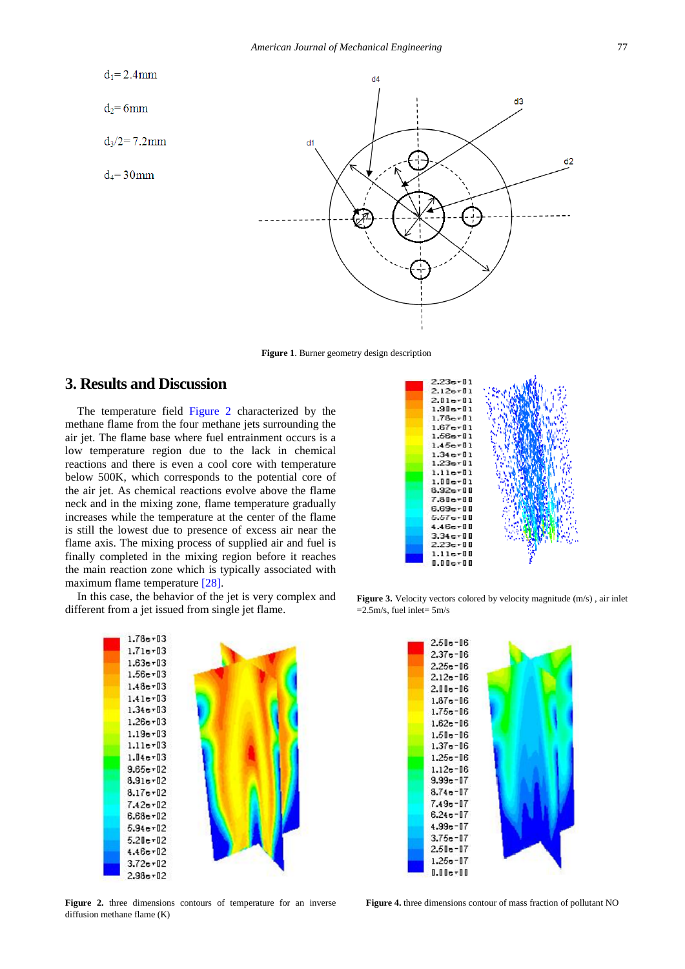<span id="page-1-0"></span>

**Figure 1**. Burner geometry design description

## **3. Results and Discussion**

The temperature field [Figure 2](#page-1-1) characterized by the methane flame from the four methane jets surrounding the air jet. The flame base where fuel entrainment occurs is a low temperature region due to the lack in chemical reactions and there is even a cool core with temperature below 500K, which corresponds to the potential core of the air jet. As chemical reactions evolve above the flame neck and in the mixing zone, flame temperature gradually increases while the temperature at the center of the flame is still the lowest due to presence of excess air near the flame axis. The mixing process of supplied air and fuel is finally completed in the mixing region before it reaches the main reaction zone which is typically associated with maximum flame temperature [\[28\].](#page-5-3)

<span id="page-1-1"></span>In this case, the behavior of the jet is very complex and different from a jet issued from single jet flame.



**Figure 3.** Velocity vectors colored by velocity magnitude (m/s) , air inlet  $=2.5$ m/s, fuel inlet=  $5$ m/s



**Figure 2.** three dimensions contours of temperature for an inverse diffusion methane flame (K)



**Figure 4.** three dimensions contour of mass fraction of pollutant NO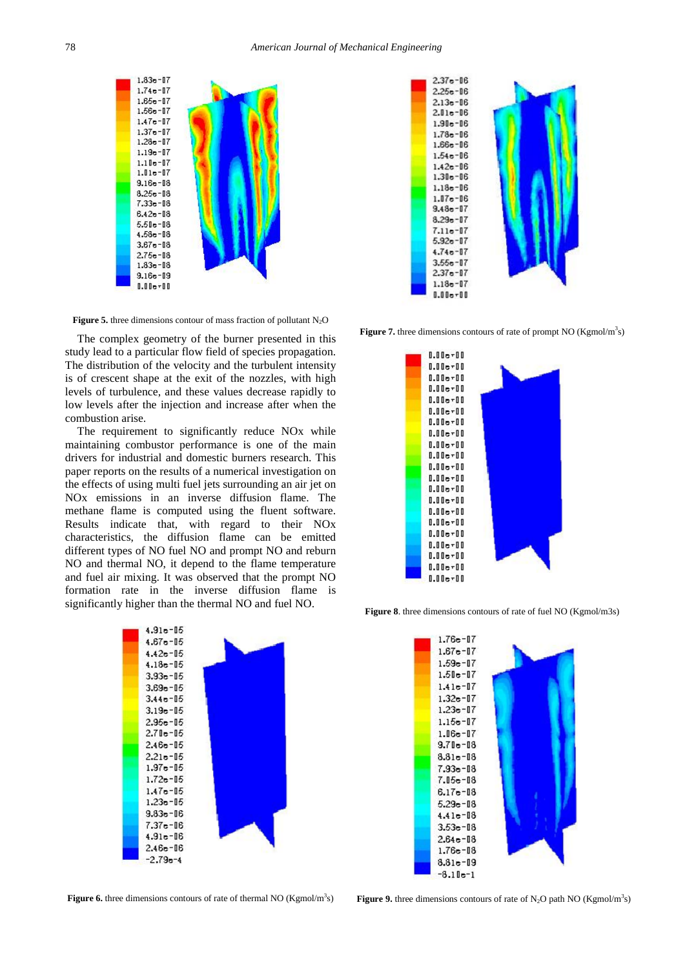<span id="page-2-3"></span>

**Figure 5.** three dimensions contour of mass fraction of pollutant  $N_2O$ 

The complex geometry of the burner presented in this study lead to a particular flow field of species propagation. The distribution of the velocity and the turbulent intensity is of crescent shape at the exit of the nozzles, with high levels of turbulence, and these values decrease rapidly to low levels after the injection and increase after when the combustion arise.

The requirement to significantly reduce NO<sub>x</sub> while maintaining combustor performance is one of the main drivers for industrial and domestic burners research. This paper reports on the results of a numerical investigation on the effects of using multi fuel jets surrounding an air jet on NOx emissions in an inverse diffusion flame. The methane flame is computed using the fluent software. Results indicate that, with regard to their NOx characteristics, the diffusion flame can be emitted different types of NO fuel NO and prompt NO and reburn NO and thermal NO, it depend to the flame temperature and fuel air mixing. It was observed that the prompt NO formation rate in the inverse diffusion flame is significantly higher than the thermal NO and fuel NO.

<span id="page-2-0"></span>

**Figure 6.** three dimensions contours of rate of thermal NO (Kgmol/m<sup>3</sup>s)

<span id="page-2-1"></span>

<span id="page-2-2"></span>**Figure 7.** three dimensions contours of rate of prompt NO ( $Kgmol/m<sup>3</sup>s$ )



**Figure 8**. three dimensions contours of rate of fuel NO (Kgmol/m3s)



**Figure 9.** three dimensions contours of rate of  $N_2O$  path NO (Kgmol/m<sup>3</sup>s)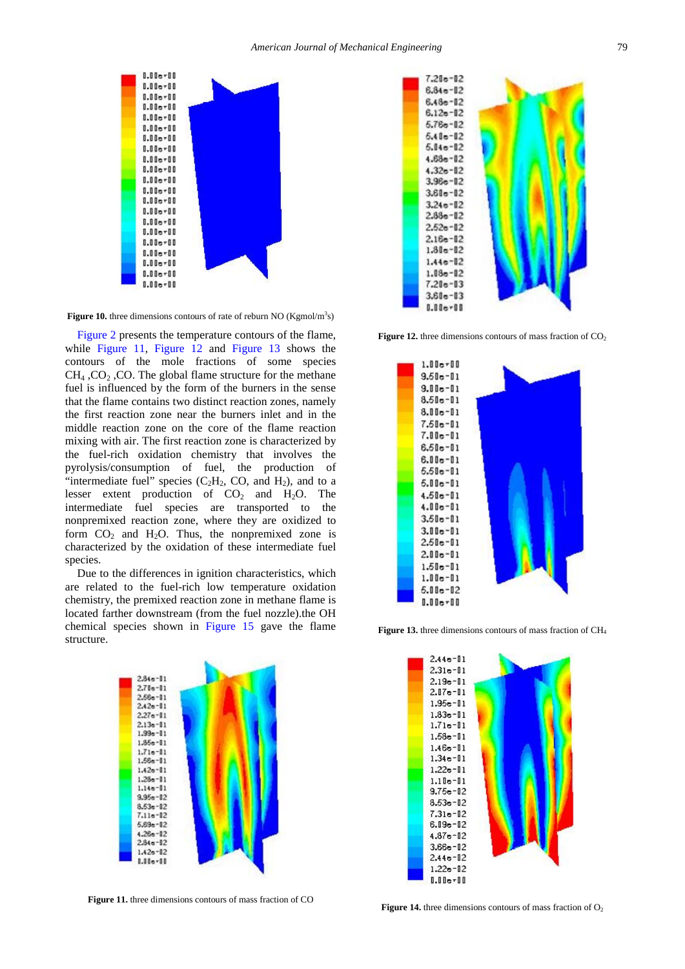<span id="page-3-3"></span>

Figure 10. three dimensions contours of rate of reburn NO (Kgmol/m<sup>3</sup>s)

[Figure 2](#page-1-1) presents the temperature contours of the flame, while [Figure 11,](#page-3-0) [Figure 12](#page-3-1) and [Figure 13](#page-3-2) shows the contours of the mole fractions of some species  $CH<sub>4</sub>$  , CO<sub>2</sub>, CO. The global flame structure for the methane fuel is influenced by the form of the burners in the sense that the flame contains two distinct reaction zones, namely the first reaction zone near the burners inlet and in the middle reaction zone on the core of the flame reaction mixing with air. The first reaction zone is characterized by the fuel-rich oxidation chemistry that involves the pyrolysis/consumption of fuel, the production of "intermediate fuel" species  $(C_2H_2, CO, and H_2)$ , and to a lesser extent production of  $CO<sub>2</sub>$  and  $H<sub>2</sub>O$ . The intermediate fuel species are transported to the nonpremixed reaction zone, where they are oxidized to form  $CO<sub>2</sub>$  and  $H<sub>2</sub>O$ . Thus, the nonpremixed zone is characterized by the oxidation of these intermediate fuel species.

Due to the differences in ignition characteristics, which are related to the fuel-rich low temperature oxidation chemistry, the premixed reaction zone in methane flame is located farther downstream (from the fuel nozzle).the OH chemical species shown in [Figure 15](#page-4-15) gave the flame structure.

<span id="page-3-0"></span>

**Figure 11.** three dimensions contours of mass fraction of CO

<span id="page-3-1"></span>

<span id="page-3-2"></span>**Figure 12.** three dimensions contours of mass fraction of  $CO<sub>2</sub>$ 



**Figure 13.** three dimensions contours of mass fraction of CH4

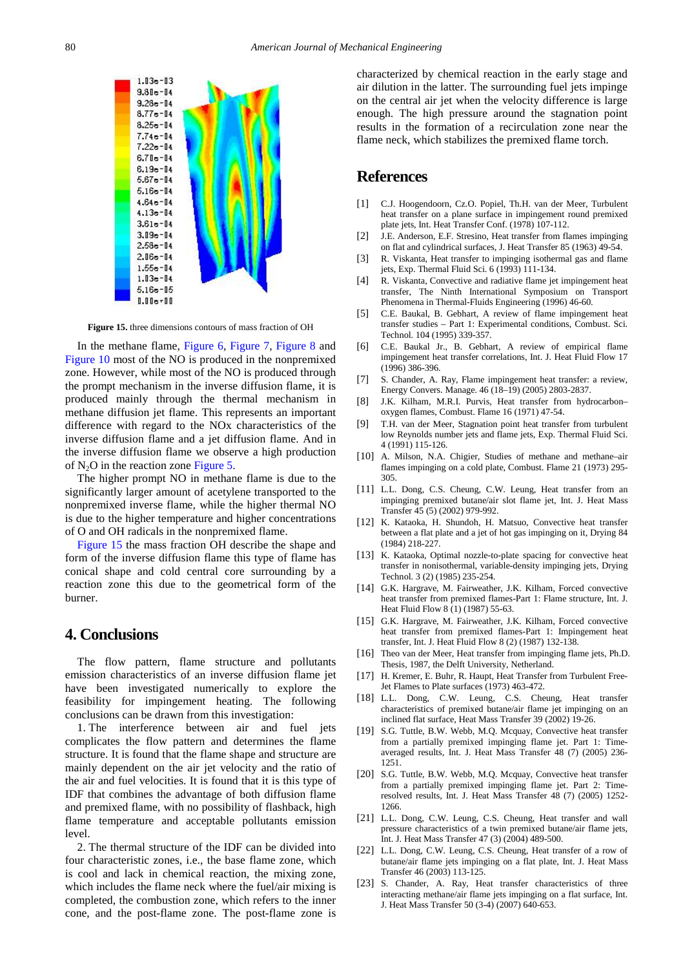<span id="page-4-15"></span>

**Figure 15.** three dimensions contours of mass fraction of OH

In the methane flame, [Figure 6,](#page-2-0) [Figure 7,](#page-2-1) [Figure 8](#page-2-2) and [Figure 10](#page-3-3) most of the NO is produced in the nonpremixed zone. However, while most of the NO is produced through the prompt mechanism in the inverse diffusion flame, it is produced mainly through the thermal mechanism in methane diffusion jet flame. This represents an important difference with regard to the NOx characteristics of the inverse diffusion flame and a jet diffusion flame. And in the inverse diffusion flame we observe a high production of  $N<sub>2</sub>O$  in the reaction zone [Figure 5.](#page-2-3)

The higher prompt NO in methane flame is due to the significantly larger amount of acetylene transported to the nonpremixed inverse flame, while the higher thermal NO is due to the higher temperature and higher concentrations of O and OH radicals in the nonpremixed flame.

[Figure 15](#page-4-15) the mass fraction OH describe the shape and form of the inverse diffusion flame this type of flame has conical shape and cold central core surrounding by a reaction zone this due to the geometrical form of the burner.

#### **4. Conclusions**

The flow pattern, flame structure and pollutants emission characteristics of an inverse diffusion flame jet have been investigated numerically to explore the feasibility for impingement heating. The following conclusions can be drawn from this investigation:

1. The interference between air and fuel jets complicates the flow pattern and determines the flame structure. It is found that the flame shape and structure are mainly dependent on the air jet velocity and the ratio of the air and fuel velocities. It is found that it is this type of IDF that combines the advantage of both diffusion flame and premixed flame, with no possibility of flashback, high flame temperature and acceptable pollutants emission level.

2. The thermal structure of the IDF can be divided into four characteristic zones, i.e., the base flame zone, which is cool and lack in chemical reaction, the mixing zone, which includes the flame neck where the fuel/air mixing is completed, the combustion zone, which refers to the inner cone, and the post-flame zone. The post-flame zone is characterized by chemical reaction in the early stage and air dilution in the latter. The surrounding fuel jets impinge on the central air jet when the velocity difference is large enough. The high pressure around the stagnation point results in the formation of a recirculation zone near the flame neck, which stabilizes the premixed flame torch.

### **References**

- <span id="page-4-0"></span>[1] C.J. Hoogendoorn, Cz.O. Popiel, Th.H. van der Meer, Turbulent heat transfer on a plane surface in impingement round premixed plate jets, Int. Heat Transfer Conf. (1978) 107-112.
- [2] J.E. Anderson, E.F. Stresino, Heat transfer from flames impinging on flat and cylindrical surfaces, J. Heat Transfer 85 (1963) 49-54.
- <span id="page-4-1"></span>[3] R. Viskanta, Heat transfer to impinging isothermal gas and flame jets, Exp. Thermal Fluid Sci. 6 (1993) 111-134.
- [4] R. Viskanta, Convective and radiative flame jet impingement heat transfer, The Ninth International Symposium on Transport Phenomena in Thermal-Fluids Engineering (1996) 46-60.
- <span id="page-4-2"></span>[5] C.E. Baukal, B. Gebhart, A review of flame impingement heat transfer studies – Part 1: Experimental conditions, Combust. Sci. Technol. 104 (1995) 339-357.
- [6] C.E. Baukal Jr., B. Gebhart, A review of empirical flame impingement heat transfer correlations, Int. J. Heat Fluid Flow 17 (1996) 386-396.
- <span id="page-4-3"></span>[7] S. Chander, A. Ray, Flame impingement heat transfer: a review, Energy Convers. Manage. 46 (18–19) (2005) 2803-2837.
- <span id="page-4-4"></span>[8] J.K. Kilham, M.R.I. Purvis, Heat transfer from hydrocarbon– oxygen flames, Combust. Flame 16 (1971) 47-54.
- [9] T.H. van der Meer, Stagnation point heat transfer from turbulent low Reynolds number jets and flame jets, Exp. Thermal Fluid Sci. 4 (1991) 115-126.
- <span id="page-4-5"></span>[10] A. Milson, N.A. Chigier, Studies of methane and methane–air flames impinging on a cold plate, Combust. Flame 21 (1973) 295- 305.
- [11] L.L. Dong, C.S. Cheung, C.W. Leung, Heat transfer from an impinging premixed butane/air slot flame jet, Int. J. Heat Mass Transfer 45 (5) (2002) 979-992.
- <span id="page-4-6"></span>[12] K. Kataoka, H. Shundoh, H. Matsuo, Convective heat transfer between a flat plate and a jet of hot gas impinging on it, Drying 84 (1984) 218-227.
- <span id="page-4-7"></span>[13] K. Kataoka, Optimal nozzle-to-plate spacing for convective heat transfer in nonisothermal, variable-density impinging jets, Drying Technol. 3 (2) (1985) 235-254.
- <span id="page-4-8"></span>[14] G.K. Hargrave, M. Fairweather, J.K. Kilham, Forced convective heat transfer from premixed flames-Part 1: Flame structure, Int. J. Heat Fluid Flow 8 (1) (1987) 55-63.
- [15] G.K. Hargrave, M. Fairweather, J.K. Kilham, Forced convective heat transfer from premixed flames-Part 1: Impingement heat transfer, Int. J. Heat Fluid Flow 8 (2) (1987) 132-138.
- <span id="page-4-9"></span>[16] Theo van der Meer, Heat transfer from impinging flame jets, Ph.D. Thesis, 1987, the Delft University, Netherland.
- <span id="page-4-10"></span>[17] H. Kremer, E. Buhr, R. Haupt, Heat Transfer from Turbulent Free-Jet Flames to Plate surfaces (1973) 463-472.
- <span id="page-4-11"></span>[18] L.L. Dong, C.W. Leung, C.S. Cheung, Heat transfer characteristics of premixed butane/air flame jet impinging on an inclined flat surface, Heat Mass Transfer 39 (2002) 19-26.
- <span id="page-4-12"></span>[19] S.G. Tuttle, B.W. Webb, M.Q. Mcquay, Convective heat transfer from a partially premixed impinging flame jet. Part 1: Timeaveraged results, Int. J. Heat Mass Transfer 48 (7) (2005) 236- 1251.
- [20] S.G. Tuttle, B.W. Webb, M.Q. Mcquay, Convective heat transfer from a partially premixed impinging flame jet. Part 2: Timeresolved results, Int. J. Heat Mass Transfer 48 (7) (2005) 1252- 1266.
- <span id="page-4-13"></span>[21] L.L. Dong, C.W. Leung, C.S. Cheung, Heat transfer and wall pressure characteristics of a twin premixed butane/air flame jets, Int. J. Heat Mass Transfer 47 (3) (2004) 489-500.
- [22] L.L. Dong, C.W. Leung, C.S. Cheung, Heat transfer of a row of butane/air flame jets impinging on a flat plate, Int. J. Heat Mass Transfer 46 (2003) 113-125.
- <span id="page-4-14"></span>[23] S. Chander, A. Ray, Heat transfer characteristics of three interacting methane/air flame jets impinging on a flat surface, Int. J. Heat Mass Transfer 50 (3-4) (2007) 640-653.